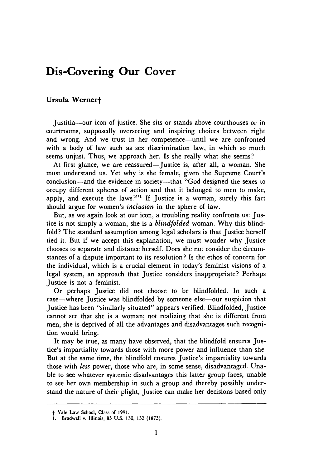## **Dis-Covering Our Cover**

## **Ursula Wernert**

Justitia-our icon of justice. She sits or stands above courthouses or in courtrooms, supposedly overseeing and inspiring choices between right and wrong. And we trust in her competence—until we are confronted with a body of law such as sex discrimination law, in which so much seems unjust. Thus, we approach her. Is she really what she seems?

At first glance, we are reassured-Justice is, after all, a woman. She must understand us. Yet why is she female, given the Supreme Court's conclusion—and the evidence in society—that "God designed the sexes to occupy different spheres of action and that it belonged to men to make, apply, and execute the laws?"' **If** Justice is a woman, surely this fact should argue for women's *inclusion* in the sphere of law.

But, as we again look at our icon, a troubling reality confronts us: Justice is not simply a woman, she is a *blindfolded* woman. **Why** this blindfold? The standard assumption among legal scholars is that Justice herself tied it. But if we accept this explanation, we must wonder why Justice chooses to separate and distance herself. Does she not consider the circumstances of a dispute important to its resolution? Is the ethos of concern for the individual, which is a crucial element in today's feminist visions of a legal system, an approach that Justice considers inappropriate? Perhaps Justice is not a feminist.

Or perhaps Justice did not choose to be blindfolded. In such a case-where Justice was blindfolded by someone else-our suspicion that Justice has been "similarly situated" appears verified. Blindfolded, Justice cannot see that she is a woman; not realizing that she is different from men, she is deprived of all the advantages and disadvantages such recognition would bring.

It may be true, as many have observed, that the blindfold ensures Justice's impartiality towards those with more power and influence than she. But at the same time, the blindfold ensures Justice's impartiality towards those with *less* power, those who are, in some sense, disadvantaged. Unable to see whatever systemic disadvantages this latter group faces, unable to see her own membership in such a group and thereby possibly understand the nature of their plight, Justice can make her decisions based only

t Yale Law School, Class of **1991.**

<sup>1.</sup> Bradwell v. Illinois, **83** U.S. 130, 132 (1873).